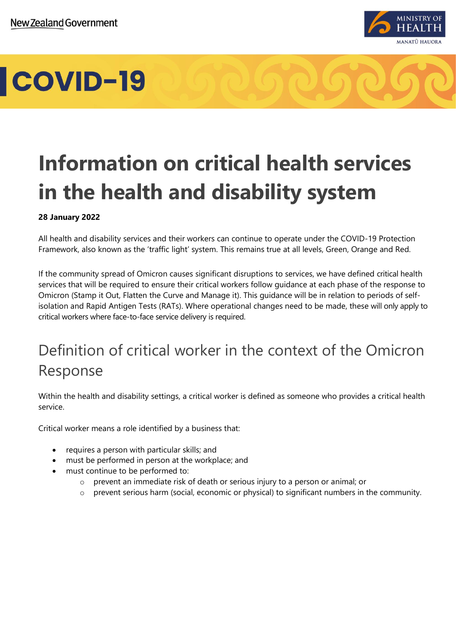

## **Information on critical health services in the health and disability system**

#### **28 January 2022**

All health and disability services and their workers can continue to operate under the COVID-19 Protection Framework, also known as the 'traffic light' system. This remains true at all levels, Green, Orange and Red.

If the community spread of Omicron causes significant disruptions to services, we have defined critical health services that will be required to ensure their critical workers follow guidance at each phase of the response to Omicron (Stamp it Out, Flatten the Curve and Manage it). This guidance will be in relation to periods of selfisolation and Rapid Antigen Tests (RATs). Where operational changes need to be made, these will only apply to critical workers where face-to-face service delivery is required.

### Definition of critical worker in the context of the Omicron Response

Within the health and disability settings, a critical worker is defined as someone who provides a critical health service.

Critical worker means a role identified by a business that:

- requires a person with particular skills; and
- must be performed in person at the workplace; and
- must continue to be performed to:
	- o prevent an immediate risk of death or serious injury to a person or animal; or
	- o prevent serious harm (social, economic or physical) to significant numbers in the community.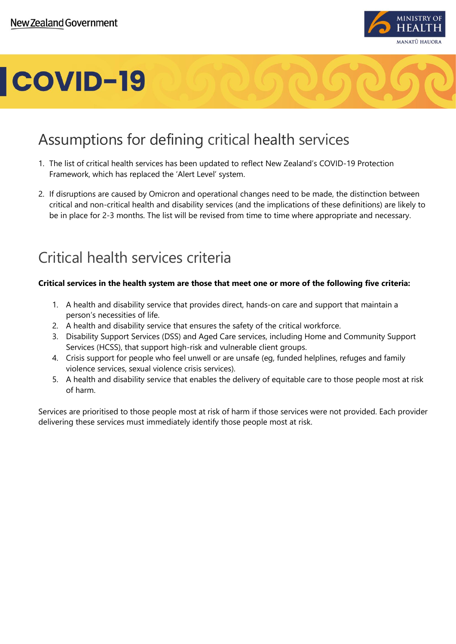

### Assumptions for defining critical health services

- 1. The list of critical health services has been updated to reflect New Zealand's COVID-19 Protection Framework, which has replaced the 'Alert Level' system.
- 2. If disruptions are caused by Omicron and operational changes need to be made, the distinction between critical and non-critical health and disability services (and the implications of these definitions) are likely to be in place for 2-3 months. The list will be revised from time to time where appropriate and necessary.

### Critical health services criteria

#### **Critical services in the health system are those that meet one or more of the following five criteria:**

- 1. A health and disability service that provides direct, hands-on care and support that maintain a person's necessities of life.
- 2. A health and disability service that ensures the safety of the critical workforce.
- 3. Disability Support Services (DSS) and Aged Care services, including Home and Community Support Services (HCSS), that support high-risk and vulnerable client groups.
- 4. Crisis support for people who feel unwell or are unsafe (eg, funded helplines, refuges and family violence services, sexual violence crisis services).
- 5. A health and disability service that enables the delivery of equitable care to those people most at risk of harm.

Services are prioritised to those people most at risk of harm if those services were not provided. Each provider delivering these services must immediately identify those people most at risk.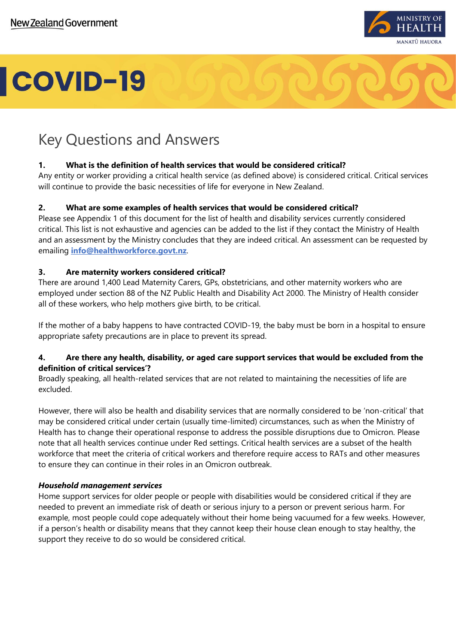

### Key Questions and Answers

#### **1. What is the definition of health services that would be considered critical?**

Any entity or worker providing a critical health service (as defined above) is considered critical. Critical services will continue to provide the basic necessities of life for everyone in New Zealand.

#### **2. What are some examples of health services that would be considered critical?**

Please see Appendix 1 of this document for the list of health and disability services currently considered critical. This list is not exhaustive and agencies can be added to the list if they contact the Ministry of Health and an assessment by the Ministry concludes that they are indeed critical. An assessment can be requested by emailing **[info@healthworkforce.govt.nz](mailto:info@healthworkforce.govt.nz)**.

#### **3. Are maternity workers considered critical?**

There are around 1,400 Lead Maternity Carers, GPs, obstetricians, and other maternity workers who are employed under section 88 of the NZ Public Health and Disability Act 2000. The Ministry of Health consider all of these workers, who help mothers give birth, to be critical.

If the mother of a baby happens to have contracted COVID-19, the baby must be born in a hospital to ensure appropriate safety precautions are in place to prevent its spread.

#### **4. Are there any health, disability, or aged care support services that would be excluded from the definition of critical services'?**

Broadly speaking, all health-related services that are not related to maintaining the necessities of life are excluded.

However, there will also be health and disability services that are normally considered to be 'non-critical' that may be considered critical under certain (usually time-limited) circumstances, such as when the Ministry of Health has to change their operational response to address the possible disruptions due to Omicron. Please note that all health services continue under Red settings. Critical health services are a subset of the health workforce that meet the criteria of critical workers and therefore require access to RATs and other measures to ensure they can continue in their roles in an Omicron outbreak.

#### *Household management services*

Home support services for older people or people with disabilities would be considered critical if they are needed to prevent an immediate risk of death or serious injury to a person or prevent serious harm. For example, most people could cope adequately without their home being vacuumed for a few weeks. However, if a person's health or disability means that they cannot keep their house clean enough to stay healthy, the support they receive to do so would be considered critical.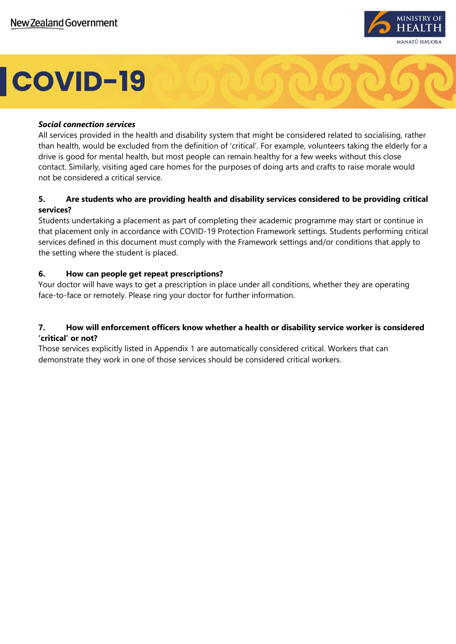

#### *Social connection services*

All services provided in the health and disability system that might be considered related to socialising, rather than health, would be excluded from the definition of 'critical'. For example, volunteers taking the elderly for a drive is good for mental health, but most people can remain healthy for a few weeks without this close contact. Similarly, visiting aged care homes for the purposes of doing arts and crafts to raise morale would not be considered a critical service.

#### **5. Are students who are providing health and disability services considered to be providing critical services?**

Students undertaking a placement as part of completing their academic programme may start or continue in that placement only in accordance with COVID-19 Protection Framework settings. Students performing critical services defined in this document must comply with the Framework settings and/or conditions that apply to the setting where the student is placed.

#### **6. How can people get repeat prescriptions?**

Your doctor will have ways to get a prescription in place under all conditions, whether they are operating face-to-face or remotely. Please ring your doctor for further information.

#### **7. How will enforcement officers know whether a health or disability service worker is considered 'critical' or not?**

Those services explicitly listed in Appendix 1 are automatically considered critical. Workers that can demonstrate they work in one of those services should be considered critical workers.